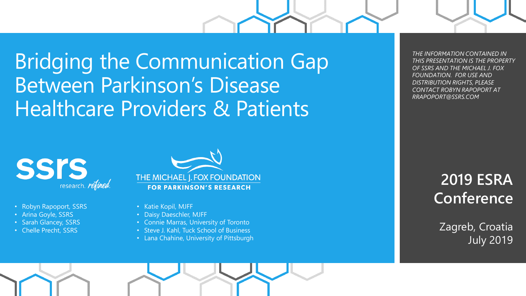Bridging the Communication Gap Between Parkinson's Disease Healthcare Providers & Patients



- Robyn Rapoport, SSRS
- Arina Goyle, SSRS
- Sarah Glancey, SSRS
- Chelle Precht, SSRS



- Katie Kopil, MJFF
- Daisy Daeschler, MJFF
- Connie Marras, University of Toronto
- Steve J. Kahl, Tuck School of Business
- Lana Chahine, University of Pittsburgh

*THE INFORMATION CONTAINED IN THIS PRESENTATION IS THE PROPERTY OF SSRS AND THE MICHAEL J. FOX FOUNDATION. FOR USE AND DISTRIBUTION RIGHTS, PLEASE CONTACT ROBYN RAPOPORT AT RRAPOPORT@SSRS.COM* 

### **2019 ESRA Conference**

Zagreb, Croatia July 2019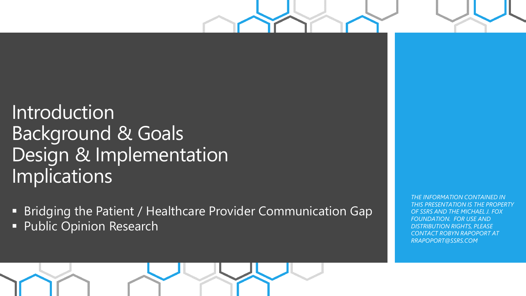# Introduction Background & Goals Design & Implementation Implications

- Bridging the Patient / Healthcare Provider Communication Gap
- **· Public Opinion Research**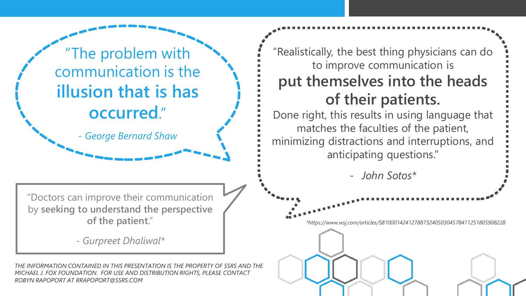"The problem with communication is the **illusion that is has occurred**."

*- George Bernard Shaw*

"Doctors can improve their communication by **seeking to understand the perspective of the patient**."

*- Gurpreet Dhaliwal\**

*THE INFORMATION CONTAINED IN THIS PRESENTATION IS THE PROPERTY OF SSRS AND THE MICHAEL J. FOX FOUNDATION. FOR USE AND DISTRIBUTION RIGHTS, PLEASE CONTACT ROBYN RAPOPORT AT RRAPOPORT@SSRS.COM* 

"Realistically, the best thing physicians can do to improve communication is **put themselves into the heads of their patients.** 

Done right, this results in using language that matches the faculties of the patient, minimizing distractions and interruptions, and anticipating questions."

- *John Sotos\**

*\*https://www.wsj.com/articles/SB10001424127887324050304578411251805908228*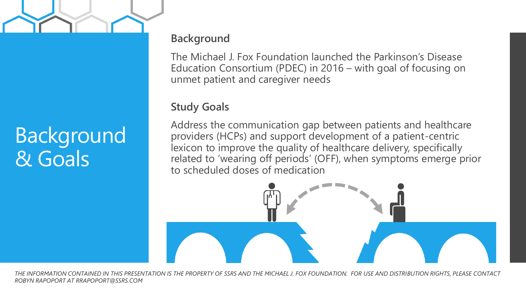# Background & Goals

### **Background**

The Michael J. Fox Foundation launched the Parkinson's Disease Education Consortium (PDEC) in 2016 – with goal of focusing on unmet patient and caregiver needs

### **Study Goals**

Address the communication gap between patients and healthcare providers (HCPs) and support development of a patient-centric lexicon to improve the quality of healthcare delivery, specifically related to 'wearing off periods' (OFF), when symptoms emerge prior to scheduled doses of medication

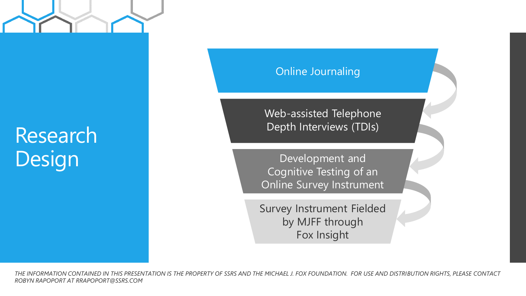# Research Design

### Online Journaling

Web-assisted Telephone Depth Interviews (TDIs)

Development and Cognitive Testing of an Online Survey Instrument

Survey Instrument Fielded by MJFF through Fox Insight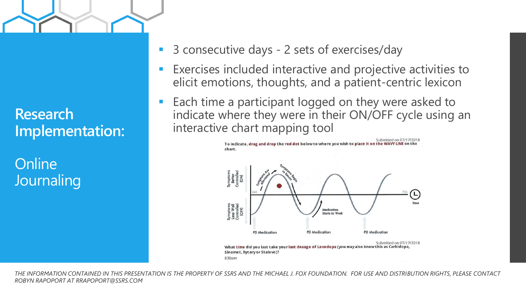

**Research Implementation:**

**Online Journaling** 

- 3 consecutive days 2 sets of exercises/day
- Exercises included interactive and projective activities to elicit emotions, thoughts, and a patient-centric lexicon
- Each time a participant logged on they were asked to indicate where they were in their ON/OFF cycle using an interactive chart mapping tool

To indicate, drag and drop the red dot below to where you wish to place it on the WAVY LINE on the

Submitted on 07/17/2018

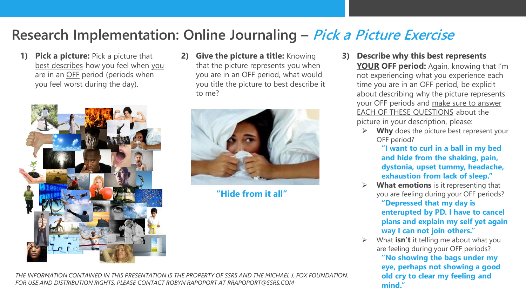### **Research Implementation: Online Journaling – Pick a Picture Exercise**

**1) Pick a picture:** Pick a picture that best describes how you feel when you are in an OFF period (periods when you feel worst during the day).



**2) Give the picture a title:** Knowing that the picture represents you when you are in an OFF period, what would you title the picture to best describe it to me?



**"Hide from it all"**

**3) Describe why this best represents YOUR OFF period:** Again, knowing that I'm not experiencing what you experience each time you are in an OFF period, be explicit about describing why the picture represents your OFF periods and make sure to answer EACH OF THESE QUESTIONS about the picture in your description, please:

- Why does the picture best represent your OFF period?
	- **"I want to curl in a ball in my bed and hide from the shaking, pain, dystonia, upset tummy, headache, exhaustion from lack of sleep."**
- What emotions is it representing that you are feeling during your OFF periods? **"Depressed that my day is enterupted by PD. I have to cancel plans and explain my self yet again way I can not join others."**
- What **isn't** it telling me about what you are feeling during your OFF periods?
	- **"No showing the bags under my eye, perhaps not showing a good old cry to clear my feeling and mind."**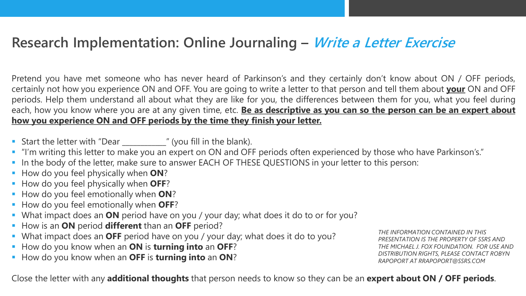### **Research Implementation: Online Journaling – Write a Letter Exercise**

Pretend you have met someone who has never heard of Parkinson's and they certainly don't know about ON / OFF periods, certainly not how you experience ON and OFF. You are going to write a letter to that person and tell them about **your** ON and OFF periods. Help them understand all about what they are like for you, the differences between them for you, what you feel during each, how you know where you are at any given time, etc. **Be as descriptive as you can so the person can be an expert about how you experience ON and OFF periods by the time they finish your letter.**

- Start the letter with "Dear \_\_\_\_\_\_\_\_\_\_\_\_\_" (you fill in the blank).
- "I'm writing this letter to make you an expert on ON and OFF periods often experienced by those who have Parkinson's."
- In the body of the letter, make sure to answer EACH OF THESE QUESTIONS in your letter to this person:
- How do you feel physically when **ON**?
- How do you feel physically when **OFF**?
- How do you feel emotionally when **ON**?
- How do you feel emotionally when **OFF**?
- What impact does an **ON** period have on you / your day; what does it do to or for you?
- How is an **ON** period **different** than an **OFF** period?
- What impact does an **OFF** period have on you / your day; what does it do to you?
- How do you know when an **ON** is **turning into** an **OFF**?
- How do you know when an **OFF** is **turning into** an **ON**?

*THE INFORMATION CONTAINED IN THIS PRESENTATION IS THE PROPERTY OF SSRS AND THE MICHAEL J. FOX FOUNDATION. FOR USE AND DISTRIBUTION RIGHTS, PLEASE CONTACT ROBYN RAPOPORT AT RRAPOPORT@SSRS.COM* 

Close the letter with any **additional thoughts** that person needs to know so they can be an **expert about ON / OFF periods**.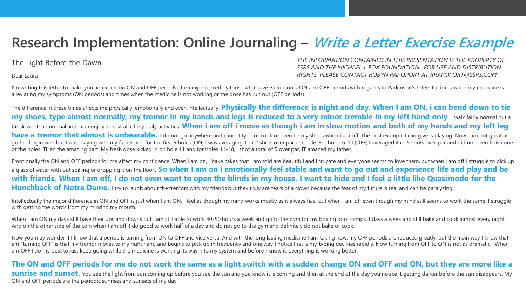### **Research Implementation: Online Journaling – Write a Letter Exercise Example**

#### The Light Before the Dawn

Dear Laura

*THE INFORMATION CONTAINED IN THIS PRESENTATION IS THE PROPERTY OF SSRS AND THE MICHAEL J. FOX FOUNDATION. FOR USE AND DISTRIBUTION RIGHTS, PLEASE CONTACT ROBYN RAPOPORT AT RRAPOPORT@SSRS.COM* 

I'm writing this letter to make you an expert on ON and OFF periods often experienced by those who have Parkinson's. ON and OFF periods with regards to Parkinson's refers to times when my medicine is alleviating my symptoms (ON periods) and times when the medicine is not working or the dose has run out (OFF periods).

The difference in these times affects me physically, emotionally and even intellectually. **Physically the difference is night and day. When I am ON, i can bend down to tie my shoes, type almost normally, my tremor in my hands and legs is reduced to a very minor tremble in my left hand only. I walk fairly normal but a** bit slower than normal and I can enjoy almost all of my daily activities. **When i am off i move as though i am in slow motion and both of my hands and my left leg have a tremor that almost is unbearable.** I do not go anywhere and cannot type or cook or even tie my shoes when i am off. The best example I can give is playing. Now i am not great at golf to begin with but I was playing with my father and for the first 5 holes (ON) I was averaging 1 or 2 shots over par per hole. For holes 6-10 (OFF) I averaged 4 or 5 shots over par and did not even finish one of the holes. THen the amazing part. My fresh dose kicked in on hole 11 and for holes 11-18, i shot a total of 5 over par. IT amazed my father.

Emotionally the ON and OFF periods for me affect my confidence. When I am on, I bake cakes that I am told are beautiful and intricate and everyone seems to love them, but when I am off I struggle to pick up a glass of water with out spilling or dropping it on the floor. **So when I am on i emotionally feel stable and want to go out and experience life and play and be with friends. When I am off, I do not even want to open the blinds in my house. I want to hide and I feel a little like Quasimodo for the Hunchback of Notre Dame.** I try to laugh about the tremors with my friends but they truly are tears of a clown because the fear of my future is real and can be paralyzing.

Intellectually the major difference in ON and OFF is just when I am ON, I feel as though my mind works mostly as it always has, but when I am off even though my mind still seems to work the same, I struggle with getting the words from my mind to my mouth.

When I am ON my days still have their ups and downs but I am still able to work 40-50 hours a week and go to the gym for my boxing boot camps 3 days a week and still bake and cook almost every night. And on the other side of the coin when I am off, I do good to work half of a day and do not go to the gym and definitely do not bake or cook.

Now you may wonder if I know that a period is turning from ON to OFF and vice versa. And with the long lasting medicine I am taking now, my OFF periods are reduced greatly, but the main way I know that I am "turning OFF" is that my tremor moves to my right hand and begins to pick up in frequency and one way I notice first is my typing declines rapidly. Now turning from OFF to ON is not as dramatic. When I am OFF I do my best to just keep going while the medicine is working its way into my system and before I know it, everything is working better.

#### **The ON and OFF periods for me do not work the same as a light switch with a sudden change ON and OFF and ON, but they are more like a**

**sunrise and sunset.** You see the light from sun coming up before you see the sun and you know it is coming and then at the end of the day you notice it getting darker before the sun disappears. My ON and OFF periods are the periodic sunrises and sunsets of my day.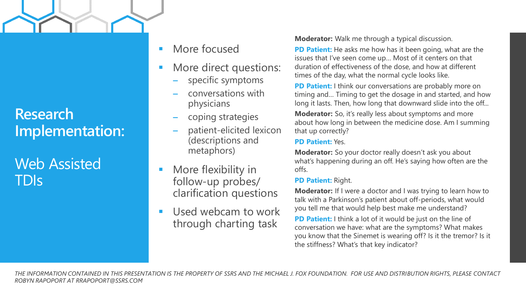### **Research Implementation:**

Web Assisted TDIs

- More focused
- More direct questions:
	- specific symptoms
	- conversations with physicians
	- coping strategies
	- patient-elicited lexicon (descriptions and metaphors)
- More flexibility in follow-up probes/ clarification questions
- Used webcam to work through charting task

**Moderator:** Walk me through a typical discussion.

**PD Patient:** He asks me how has it been going, what are the issues that I've seen come up… Most of it centers on that duration of effectiveness of the dose, and how at different times of the day, what the normal cycle looks like.

**PD Patient:** I think our conversations are probably more on timing and… Timing to get the dosage in and started, and how long it lasts. Then, how long that downward slide into the off...

**Moderator:** So, it's really less about symptoms and more about how long in between the medicine dose. Am I summing that up correctly?

#### **PD Patient:** Yes.

**Moderator:** So your doctor really doesn't ask you about what's happening during an off. He's saying how often are the offs.

#### **PD Patient:** Right.

**Moderator:** If I were a doctor and I was trying to learn how to talk with a Parkinson's patient about off-periods, what would you tell me that would help best make me understand?

**PD Patient:** I think a lot of it would be just on the line of conversation we have: what are the symptoms? What makes you know that the Sinemet is wearing off? Is it the tremor? Is it the stiffness? What's that key indicator?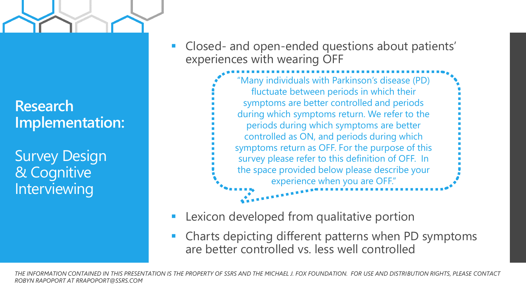

Survey Design & Cognitive **Interviewing** 

Closed- and open-ended questions about patients' experiences with wearing OFF



- Lexicon developed from qualitative portion
- Charts depicting different patterns when PD symptoms are better controlled vs. less well controlled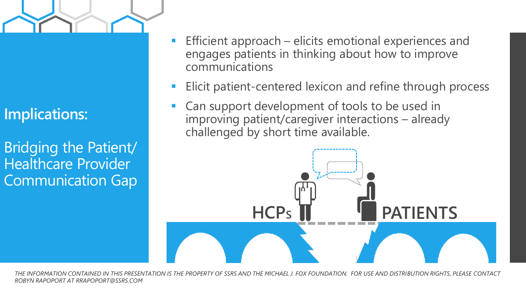

**Implications:** 

Bridging the Patient/ Healthcare Provider Communication Gap

- Efficient approach elicits emotional experiences and engages patients in thinking about how to improve communications
- Elicit patient-centered lexicon and refine through process
- Can support development of tools to be used in improving patient/caregiver interactions – already challenged by short time available.

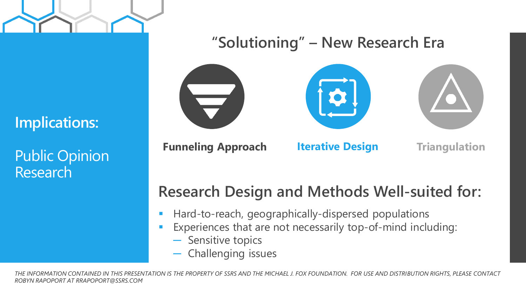

### **"Solutioning" – New Research Era**

### **Implications:**

Public Opinion Research







**Funneling Approach Iterative Design**

**Triangulation**

## **Research Design and Methods Well-suited for:**

- Hard-to-reach, geographically-dispersed populations
- Experiences that are not necessarily top-of-mind including:
	- ─ Sensitive topics
	- Challenging issues